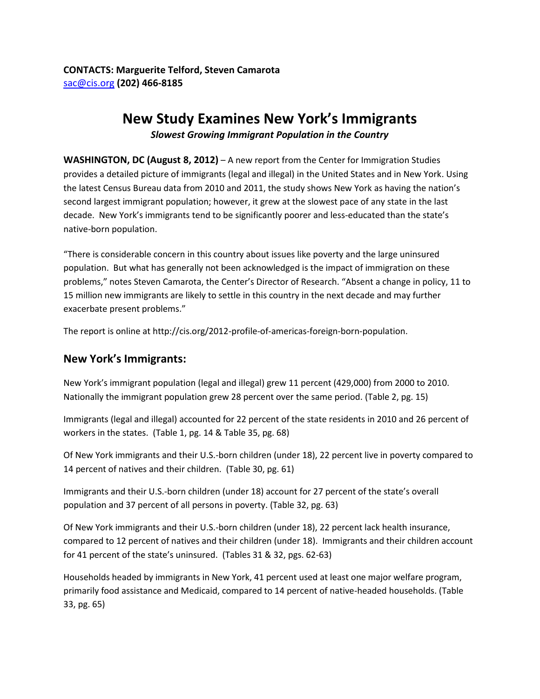## **New Study Examines New York's Immigrants**

*Slowest Growing Immigrant Population in the Country*

**WASHINGTON, DC (August 8, 2012)** – A new report from the Center for Immigration Studies provides a detailed picture of immigrants (legal and illegal) in the United States and in New York. Using the latest Census Bureau data from 2010 and 2011, the study shows New York as having the nation's second largest immigrant population; however, it grew at the slowest pace of any state in the last decade. New York's immigrants tend to be significantly poorer and less-educated than the state's native-born population.

"There is considerable concern in this country about issues like poverty and the large uninsured population. But what has generally not been acknowledged is the impact of immigration on these problems," notes Steven Camarota, the Center's Director of Research. "Absent a change in policy, 11 to 15 million new immigrants are likely to settle in this country in the next decade and may further exacerbate present problems."

The report is online at http://cis.org/2012-profile-of-americas-foreign-born-population.

## **New York's Immigrants:**

New York's immigrant population (legal and illegal) grew 11 percent (429,000) from 2000 to 2010. Nationally the immigrant population grew 28 percent over the same period. (Table 2, pg. 15)

Immigrants (legal and illegal) accounted for 22 percent of the state residents in 2010 and 26 percent of workers in the states. (Table 1, pg. 14 & Table 35, pg. 68)

Of New York immigrants and their U.S.-born children (under 18), 22 percent live in poverty compared to 14 percent of natives and their children. (Table 30, pg. 61)

Immigrants and their U.S.-born children (under 18) account for 27 percent of the state's overall population and 37 percent of all persons in poverty. (Table 32, pg. 63)

Of New York immigrants and their U.S.-born children (under 18), 22 percent lack health insurance, compared to 12 percent of natives and their children (under 18). Immigrants and their children account for 41 percent of the state's uninsured. (Tables 31 & 32, pgs. 62-63)

Households headed by immigrants in New York, 41 percent used at least one major welfare program, primarily food assistance and Medicaid, compared to 14 percent of native-headed households. (Table 33, pg. 65)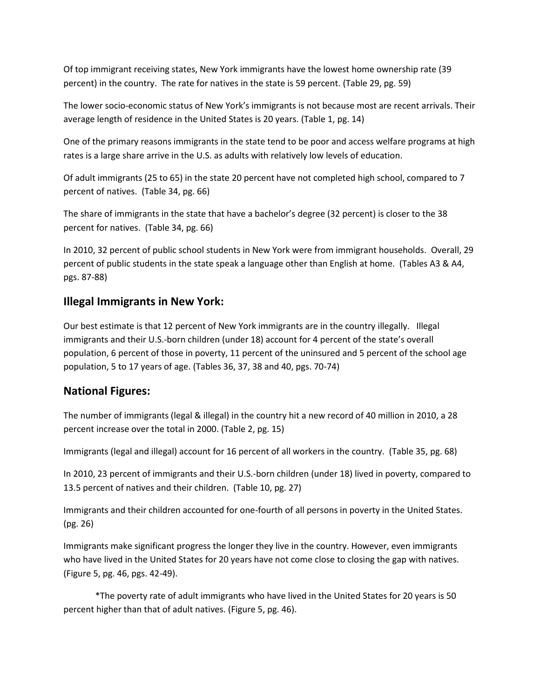Of top immigrant receiving states, New York immigrants have the lowest home ownership rate (39 percent) in the country. The rate for natives in the state is 59 percent. (Table 29, pg. 59)

The lower socio-economic status of New York's immigrants is not because most are recent arrivals. Their average length of residence in the United States is 20 years. (Table 1, pg. 14)

One of the primary reasons immigrants in the state tend to be poor and access welfare programs at high rates is a large share arrive in the U.S. as adults with relatively low levels of education.

Of adult immigrants (25 to 65) in the state 20 percent have not completed high school, compared to 7 percent of natives. (Table 34, pg. 66)

The share of immigrants in the state that have a bachelor's degree (32 percent) is closer to the 38 percent for natives. (Table 34, pg. 66)

In 2010, 32 percent of public school students in New York were from immigrant households. Overall, 29 percent of public students in the state speak a language other than English at home. (Tables A3 & A4, pgs. 87-88)

## **Illegal Immigrants in New York:**

Our best estimate is that 12 percent of New York immigrants are in the country illegally. Illegal immigrants and their U.S.-born children (under 18) account for 4 percent of the state's overall population, 6 percent of those in poverty, 11 percent of the uninsured and 5 percent of the school age population, 5 to 17 years of age. (Tables 36, 37, 38 and 40, pgs. 70-74)

## **National Figures:**

The number of immigrants (legal & illegal) in the country hit a new record of 40 million in 2010, a 28 percent increase over the total in 2000. (Table 2, pg. 15)

Immigrants (legal and illegal) account for 16 percent of all workers in the country. (Table 35, pg. 68)

In 2010, 23 percent of immigrants and their U.S.-born children (under 18) lived in poverty, compared to 13.5 percent of natives and their children. (Table 10, pg. 27)

Immigrants and their children accounted for one-fourth of all persons in poverty in the United States. (pg. 26)

Immigrants make significant progress the longer they live in the country. However, even immigrants who have lived in the United States for 20 years have not come close to closing the gap with natives. (Figure 5, pg. 46, pgs. 42-49).

\*The poverty rate of adult immigrants who have lived in the United States for 20 years is 50 percent higher than that of adult natives. (Figure 5, pg. 46).